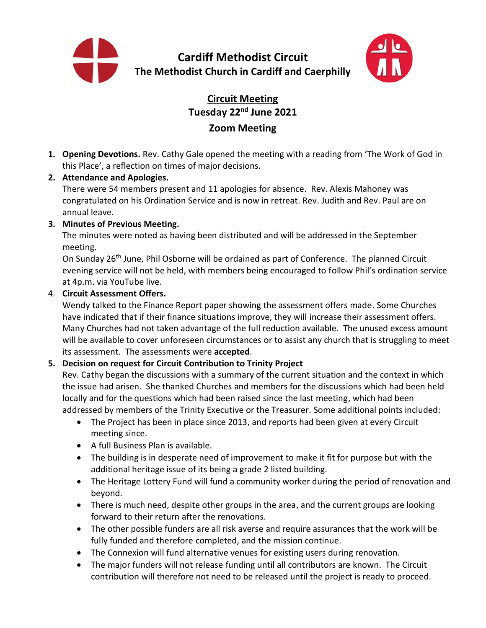



# **Circuit Meeting Tuesday 22 nd June 2021 Zoom Meeting**

**1. Opening Devotions.** Rev. Cathy Gale opened the meeting with a reading from 'The Work of God in this Place', a reflection on times of major decisions.

#### **2. Attendance and Apologies.**

There were 54 members present and 11 apologies for absence. Rev. Alexis Mahoney was congratulated on his Ordination Service and is now in retreat. Rev. Judith and Rev. Paul are on annual leave.

#### **3. Minutes of Previous Meeting.**

The minutes were noted as having been distributed and will be addressed in the September meeting.

On Sunday 26th June, Phil Osborne will be ordained as part of Conference. The planned Circuit evening service will not be held, with members being encouraged to follow Phil's ordination service at 4p.m. via YouTube live.

#### 4. **Circuit Assessment Offers.**

Wendy talked to the Finance Report paper showing the assessment offers made. Some Churches have indicated that if their finance situations improve, they will increase their assessment offers. Many Churches had not taken advantage of the full reduction available. The unused excess amount will be available to cover unforeseen circumstances or to assist any church that is struggling to meet its assessment. The assessments were **accepted**.

# **5. Decision on request for Circuit Contribution to Trinity Project**

Rev. Cathy began the discussions with a summary of the current situation and the context in which the issue had arisen. She thanked Churches and members for the discussions which had been held locally and for the questions which had been raised since the last meeting, which had been addressed by members of the Trinity Executive or the Treasurer. Some additional points included:

- The Project has been in place since 2013, and reports had been given at every Circuit meeting since.
- A full Business Plan is available.
- The building is in desperate need of improvement to make it fit for purpose but with the additional heritage issue of its being a grade 2 listed building.
- The Heritage Lottery Fund will fund a community worker during the period of renovation and beyond.
- There is much need, despite other groups in the area, and the current groups are looking forward to their return after the renovations.
- The other possible funders are all risk averse and require assurances that the work will be fully funded and therefore completed, and the mission continue.
- The Connexion will fund alternative venues for existing users during renovation.
- The major funders will not release funding until all contributors are known. The Circuit contribution will therefore not need to be released until the project is ready to proceed.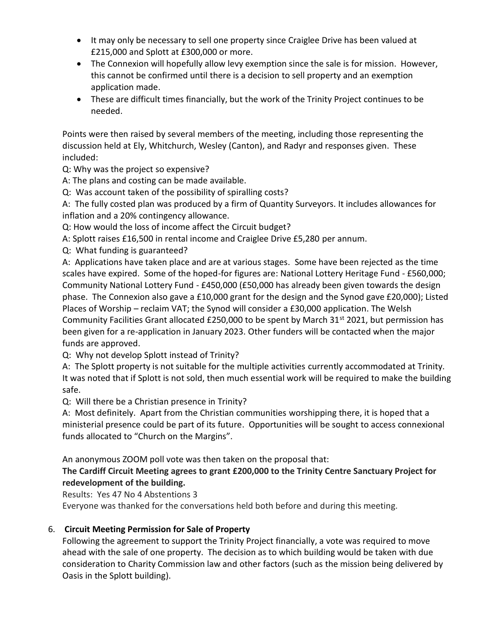- It may only be necessary to sell one property since Craiglee Drive has been valued at £215,000 and Splott at £300,000 or more.
- The Connexion will hopefully allow levy exemption since the sale is for mission. However, this cannot be confirmed until there is a decision to sell property and an exemption application made.
- These are difficult times financially, but the work of the Trinity Project continues to be needed.

Points were then raised by several members of the meeting, including those representing the discussion held at Ely, Whitchurch, Wesley (Canton), and Radyr and responses given. These included:

Q: Why was the project so expensive?

A: The plans and costing can be made available.

Q: Was account taken of the possibility of spiralling costs?

A: The fully costed plan was produced by a firm of Quantity Surveyors. It includes allowances for inflation and a 20% contingency allowance.

Q: How would the loss of income affect the Circuit budget?

A: Splott raises £16,500 in rental income and Craiglee Drive £5,280 per annum.

Q: What funding is guaranteed?

A: Applications have taken place and are at various stages. Some have been rejected as the time scales have expired. Some of the hoped-for figures are: National Lottery Heritage Fund - £560,000; Community National Lottery Fund - £450,000 (£50,000 has already been given towards the design phase. The Connexion also gave a £10,000 grant for the design and the Synod gave £20,000); Listed Places of Worship – reclaim VAT; the Synod will consider a £30,000 application. The Welsh Community Facilities Grant allocated £250,000 to be spent by March 31<sup>st</sup> 2021, but permission has been given for a re-application in January 2023. Other funders will be contacted when the major funds are approved.

Q: Why not develop Splott instead of Trinity?

A: The Splott property is not suitable for the multiple activities currently accommodated at Trinity. It was noted that if Splott is not sold, then much essential work will be required to make the building safe.

Q: Will there be a Christian presence in Trinity?

A: Most definitely. Apart from the Christian communities worshipping there, it is hoped that a ministerial presence could be part of its future. Opportunities will be sought to access connexional funds allocated to "Church on the Margins".

An anonymous ZOOM poll vote was then taken on the proposal that:

# **The Cardiff Circuit Meeting agrees to grant £200,000 to the Trinity Centre Sanctuary Project for redevelopment of the building.**

Results: Yes 47 No 4 Abstentions 3

Everyone was thanked for the conversations held both before and during this meeting.

# 6. **Circuit Meeting Permission for Sale of Property**

Following the agreement to support the Trinity Project financially, a vote was required to move ahead with the sale of one property. The decision as to which building would be taken with due consideration to Charity Commission law and other factors (such as the mission being delivered by Oasis in the Splott building).